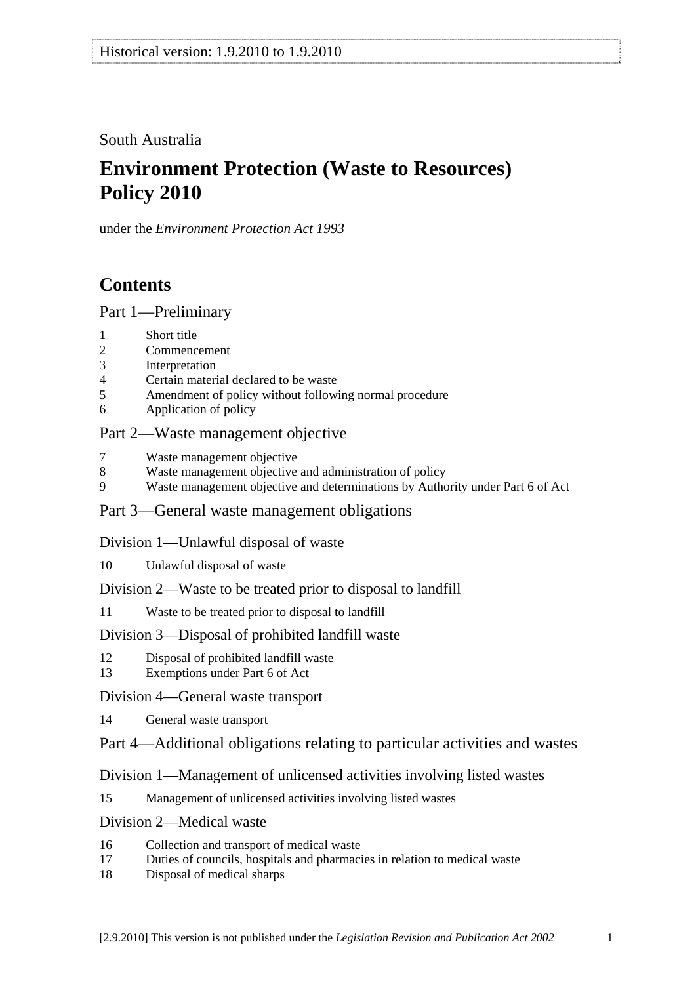South Australia

# **Environment Protection (Waste to Resources) Policy 2010**

under the *Environment Protection Act 1993*

# **Contents**

Part 1—Preliminary

- 1 Short title
- 2 Commencement
- 3 Interpretation
- 4 Certain material declared to be waste
- 5 Amendment of policy without following normal procedure
- 6 Application of policy

## Part 2—Waste management objective

- 7 Waste management objective
- 8 Waste management objective and administration of policy
- 9 Waste management objective and determinations by Authority under Part 6 of Act

## Part 3—General waste management obligations

## Division 1—Unlawful disposal of waste

10 Unlawful disposal of waste

## Division 2—Waste to be treated prior to disposal to landfill

11 Waste to be treated prior to disposal to landfill

## Division 3—Disposal of prohibited landfill waste

- 12 Disposal of prohibited landfill waste
- 13 Exemptions under Part 6 of Act
- Division 4—General waste transport
- 14 General waste transport
- Part 4—Additional obligations relating to particular activities and wastes

## Division 1—Management of unlicensed activities involving listed wastes

15 Management of unlicensed activities involving listed wastes

## Division 2—Medical waste

- 16 Collection and transport of medical waste
- 17 Duties of councils, hospitals and pharmacies in relation to medical waste
- 18 Disposal of medical sharps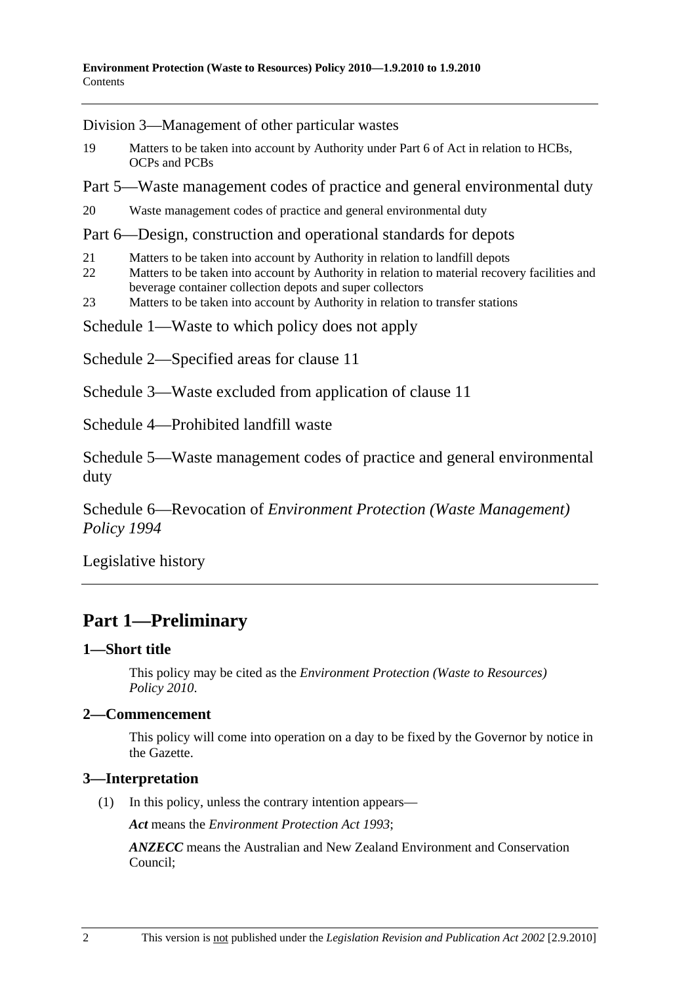Division 3—Management of other particular wastes

- 19 Matters to be taken into account by Authority under Part 6 of Act in relation to HCBs, OCPs and PCBs
- Part 5—Waste management codes of practice and general environmental duty
- 20 Waste management codes of practice and general environmental duty

## Part 6—Design, construction and operational standards for depots

- 21 Matters to be taken into account by Authority in relation to landfill depots
- 22 Matters to be taken into account by Authority in relation to material recovery facilities and beverage container collection depots and super collectors
- 23 Matters to be taken into account by Authority in relation to transfer stations
- Schedule 1—Waste to which policy does not apply
- Schedule 2—Specified areas for clause 11
- Schedule 3—Waste excluded from application of clause 11

Schedule 4—Prohibited landfill waste

Schedule 5—Waste management codes of practice and general environmental duty

Schedule 6—Revocation of *Environment Protection (Waste Management) Policy 1994*

Legislative history

## **Part 1—Preliminary**

## **1—Short title**

This policy may be cited as the *Environment Protection (Waste to Resources) Policy 2010*.

## **2—Commencement**

This policy will come into operation on a day to be fixed by the Governor by notice in the Gazette.

## **3—Interpretation**

(1) In this policy, unless the contrary intention appears—

*Act* means the *Environment Protection Act 1993*;

*ANZECC* means the Australian and New Zealand Environment and Conservation Council;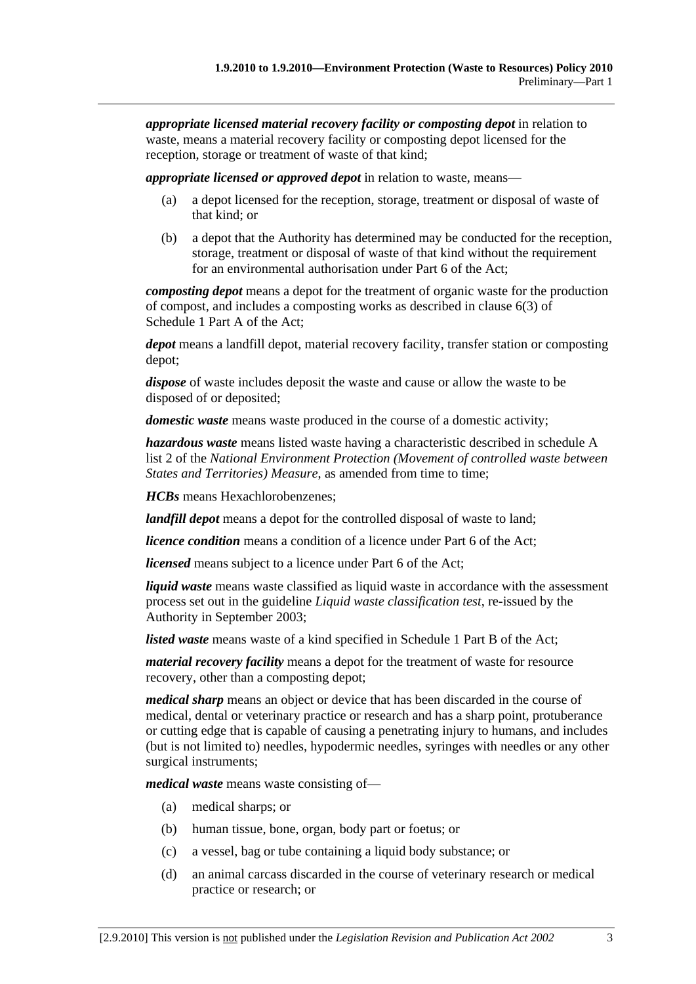*appropriate licensed material recovery facility or composting depot* in relation to waste, means a material recovery facility or composting depot licensed for the reception, storage or treatment of waste of that kind;

*appropriate licensed or approved depot* in relation to waste, means—

- (a) a depot licensed for the reception, storage, treatment or disposal of waste of that kind; or
- (b) a depot that the Authority has determined may be conducted for the reception, storage, treatment or disposal of waste of that kind without the requirement for an environmental authorisation under Part 6 of the Act;

*composting depot* means a depot for the treatment of organic waste for the production of compost, and includes a composting works as described in clause 6(3) of Schedule 1 Part A of the Act;

*depot* means a landfill depot, material recovery facility, transfer station or composting depot;

*dispose* of waste includes deposit the waste and cause or allow the waste to be disposed of or deposited;

*domestic waste* means waste produced in the course of a domestic activity;

*hazardous waste* means listed waste having a characteristic described in schedule A list 2 of the *National Environment Protection (Movement of controlled waste between States and Territories) Measure*, as amended from time to time;

*HCBs* means Hexachlorobenzenes;

*landfill depot* means a depot for the controlled disposal of waste to land;

*licence condition* means a condition of a licence under Part 6 of the Act;

*licensed* means subject to a licence under Part 6 of the Act;

*liquid waste* means waste classified as liquid waste in accordance with the assessment process set out in the guideline *Liquid waste classification test*, re-issued by the Authority in September 2003;

*listed waste* means waste of a kind specified in Schedule 1 Part B of the Act;

*material recovery facility* means a depot for the treatment of waste for resource recovery, other than a composting depot;

*medical sharp* means an object or device that has been discarded in the course of medical, dental or veterinary practice or research and has a sharp point, protuberance or cutting edge that is capable of causing a penetrating injury to humans, and includes (but is not limited to) needles, hypodermic needles, syringes with needles or any other surgical instruments;

*medical waste* means waste consisting of—

- (a) medical sharps; or
- (b) human tissue, bone, organ, body part or foetus; or
- (c) a vessel, bag or tube containing a liquid body substance; or
- (d) an animal carcass discarded in the course of veterinary research or medical practice or research; or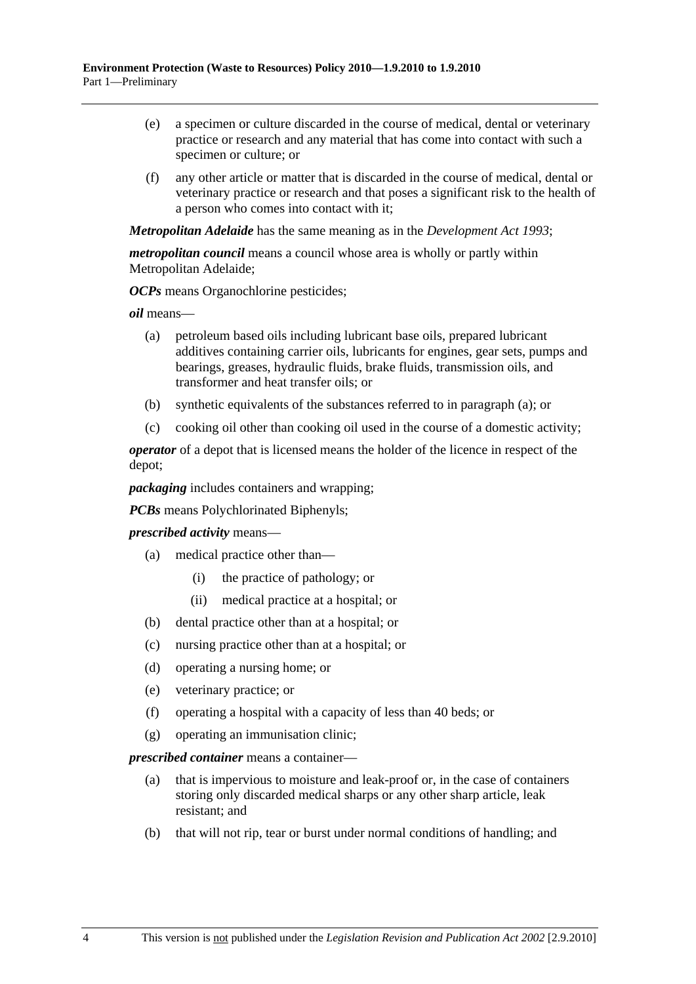- (e) a specimen or culture discarded in the course of medical, dental or veterinary practice or research and any material that has come into contact with such a specimen or culture; or
- (f) any other article or matter that is discarded in the course of medical, dental or veterinary practice or research and that poses a significant risk to the health of a person who comes into contact with it;

*Metropolitan Adelaide* has the same meaning as in the *Development Act 1993*;

*metropolitan council* means a council whose area is wholly or partly within Metropolitan Adelaide;

*OCPs* means Organochlorine pesticides;

*oil* means—

- (a) petroleum based oils including lubricant base oils, prepared lubricant additives containing carrier oils, lubricants for engines, gear sets, pumps and bearings, greases, hydraulic fluids, brake fluids, transmission oils, and transformer and heat transfer oils; or
- (b) synthetic equivalents of the substances referred to in paragraph (a); or
- (c) cooking oil other than cooking oil used in the course of a domestic activity;

*operator* of a depot that is licensed means the holder of the licence in respect of the depot;

*packaging* includes containers and wrapping;

*PCBs* means Polychlorinated Biphenyls;

*prescribed activity* means—

- (a) medical practice other than—
	- (i) the practice of pathology; or
	- (ii) medical practice at a hospital; or
- (b) dental practice other than at a hospital; or
- (c) nursing practice other than at a hospital; or
- (d) operating a nursing home; or
- (e) veterinary practice; or
- (f) operating a hospital with a capacity of less than 40 beds; or
- (g) operating an immunisation clinic;

*prescribed container* means a container—

- (a) that is impervious to moisture and leak-proof or, in the case of containers storing only discarded medical sharps or any other sharp article, leak resistant; and
- (b) that will not rip, tear or burst under normal conditions of handling; and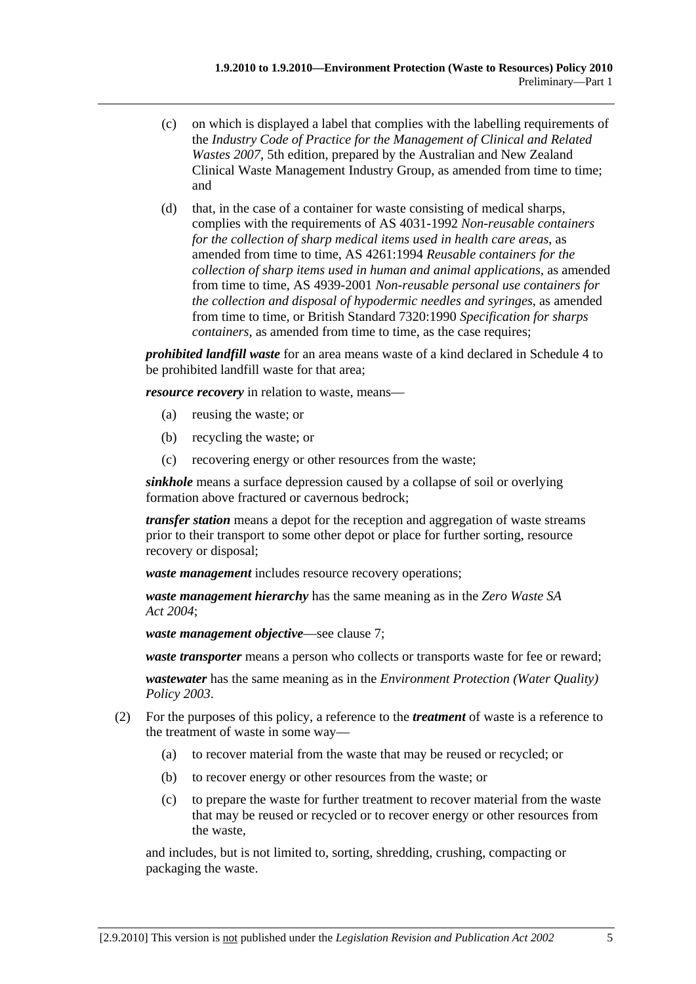- (c) on which is displayed a label that complies with the labelling requirements of the *Industry Code of Practice for the Management of Clinical and Related Wastes 2007*, 5th edition, prepared by the Australian and New Zealand Clinical Waste Management Industry Group, as amended from time to time; and
- (d) that, in the case of a container for waste consisting of medical sharps, complies with the requirements of AS 4031-1992 *Non-reusable containers for the collection of sharp medical items used in health care areas*, as amended from time to time, AS 4261:1994 *Reusable containers for the collection of sharp items used in human and animal applications*, as amended from time to time, AS 4939-2001 *Non-reusable personal use containers for the collection and disposal of hypodermic needles and syringes*, as amended from time to time, or British Standard 7320:1990 *Specification for sharps containers*, as amended from time to time, as the case requires;

*prohibited landfill waste* for an area means waste of a kind declared in Schedule 4 to be prohibited landfill waste for that area;

*resource recovery* in relation to waste, means—

- (a) reusing the waste; or
- (b) recycling the waste; or
- (c) recovering energy or other resources from the waste;

*sinkhole* means a surface depression caused by a collapse of soil or overlying formation above fractured or cavernous bedrock;

*transfer station* means a depot for the reception and aggregation of waste streams prior to their transport to some other depot or place for further sorting, resource recovery or disposal;

*waste management* includes resource recovery operations;

*waste management hierarchy* has the same meaning as in the *Zero Waste SA Act 2004*;

*waste management objective*—see clause 7;

*waste transporter* means a person who collects or transports waste for fee or reward;

*wastewater* has the same meaning as in the *Environment Protection (Water Quality) Policy 2003*.

- (2) For the purposes of this policy, a reference to the *treatment* of waste is a reference to the treatment of waste in some way—
	- (a) to recover material from the waste that may be reused or recycled; or
	- (b) to recover energy or other resources from the waste; or
	- (c) to prepare the waste for further treatment to recover material from the waste that may be reused or recycled or to recover energy or other resources from the waste,

and includes, but is not limited to, sorting, shredding, crushing, compacting or packaging the waste.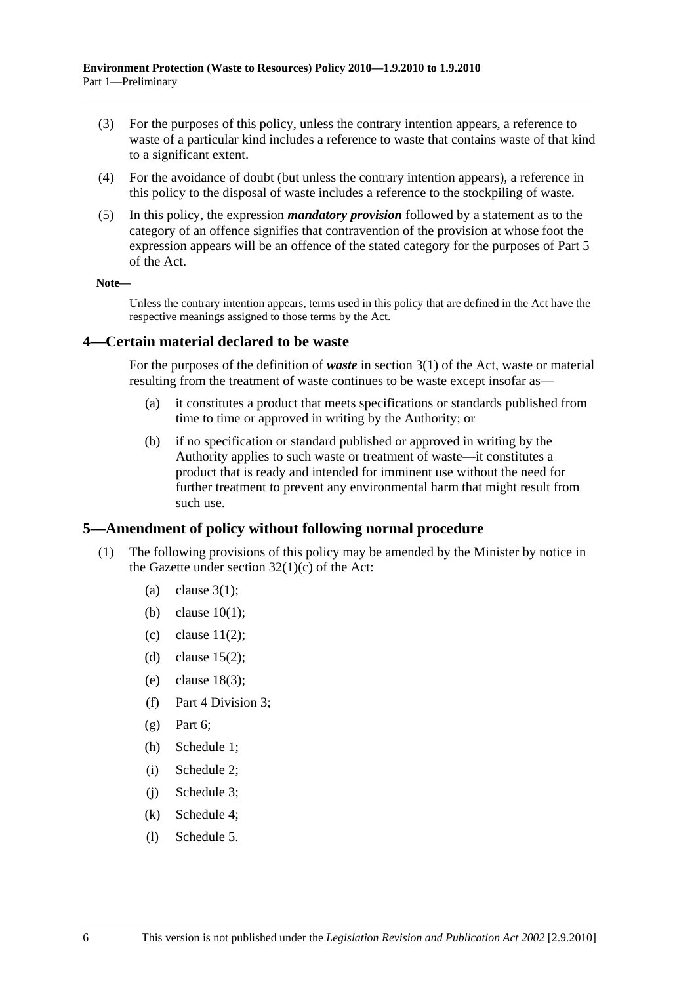- (3) For the purposes of this policy, unless the contrary intention appears, a reference to waste of a particular kind includes a reference to waste that contains waste of that kind to a significant extent.
- (4) For the avoidance of doubt (but unless the contrary intention appears), a reference in this policy to the disposal of waste includes a reference to the stockpiling of waste.
- (5) In this policy, the expression *mandatory provision* followed by a statement as to the category of an offence signifies that contravention of the provision at whose foot the expression appears will be an offence of the stated category for the purposes of Part 5 of the Act.

**Note—** 

Unless the contrary intention appears, terms used in this policy that are defined in the Act have the respective meanings assigned to those terms by the Act.

#### **4—Certain material declared to be waste**

For the purposes of the definition of *waste* in section 3(1) of the Act, waste or material resulting from the treatment of waste continues to be waste except insofar as—

- (a) it constitutes a product that meets specifications or standards published from time to time or approved in writing by the Authority; or
- (b) if no specification or standard published or approved in writing by the Authority applies to such waste or treatment of waste—it constitutes a product that is ready and intended for imminent use without the need for further treatment to prevent any environmental harm that might result from such use.

## **5—Amendment of policy without following normal procedure**

- (1) The following provisions of this policy may be amended by the Minister by notice in the Gazette under section  $32(1)(c)$  of the Act:
	- (a) clause  $3(1)$ :
	- (b) clause 10(1);
	- (c) clause  $11(2)$ ;
	- (d) clause  $15(2)$ ;
	- (e) clause 18(3);
	- (f) Part 4 Division 3;
	- $(\sigma)$  Part 6:
	- (h) Schedule 1;
	- (i) Schedule 2;
	- (j) Schedule 3;
	- (k) Schedule 4;
	- (l) Schedule 5.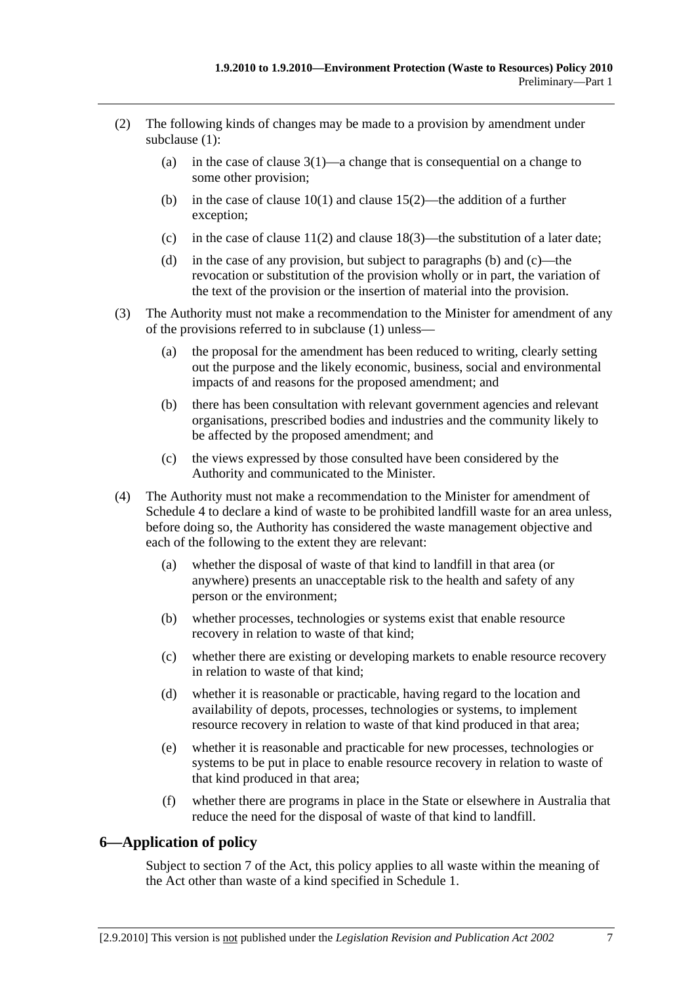- (2) The following kinds of changes may be made to a provision by amendment under subclause (1):
	- (a) in the case of clause  $3(1)$ —a change that is consequential on a change to some other provision;
	- (b) in the case of clause 10(1) and clause 15(2)—the addition of a further exception;
	- (c) in the case of clause  $11(2)$  and clause  $18(3)$ —the substitution of a later date;
	- (d) in the case of any provision, but subject to paragraphs (b) and (c)—the revocation or substitution of the provision wholly or in part, the variation of the text of the provision or the insertion of material into the provision.
- (3) The Authority must not make a recommendation to the Minister for amendment of any of the provisions referred to in subclause (1) unless—
	- (a) the proposal for the amendment has been reduced to writing, clearly setting out the purpose and the likely economic, business, social and environmental impacts of and reasons for the proposed amendment; and
	- (b) there has been consultation with relevant government agencies and relevant organisations, prescribed bodies and industries and the community likely to be affected by the proposed amendment; and
	- (c) the views expressed by those consulted have been considered by the Authority and communicated to the Minister.
- (4) The Authority must not make a recommendation to the Minister for amendment of Schedule 4 to declare a kind of waste to be prohibited landfill waste for an area unless, before doing so, the Authority has considered the waste management objective and each of the following to the extent they are relevant:
	- (a) whether the disposal of waste of that kind to landfill in that area (or anywhere) presents an unacceptable risk to the health and safety of any person or the environment;
	- (b) whether processes, technologies or systems exist that enable resource recovery in relation to waste of that kind;
	- (c) whether there are existing or developing markets to enable resource recovery in relation to waste of that kind;
	- (d) whether it is reasonable or practicable, having regard to the location and availability of depots, processes, technologies or systems, to implement resource recovery in relation to waste of that kind produced in that area;
	- (e) whether it is reasonable and practicable for new processes, technologies or systems to be put in place to enable resource recovery in relation to waste of that kind produced in that area;
	- (f) whether there are programs in place in the State or elsewhere in Australia that reduce the need for the disposal of waste of that kind to landfill.

## **6—Application of policy**

Subject to section 7 of the Act, this policy applies to all waste within the meaning of the Act other than waste of a kind specified in Schedule 1.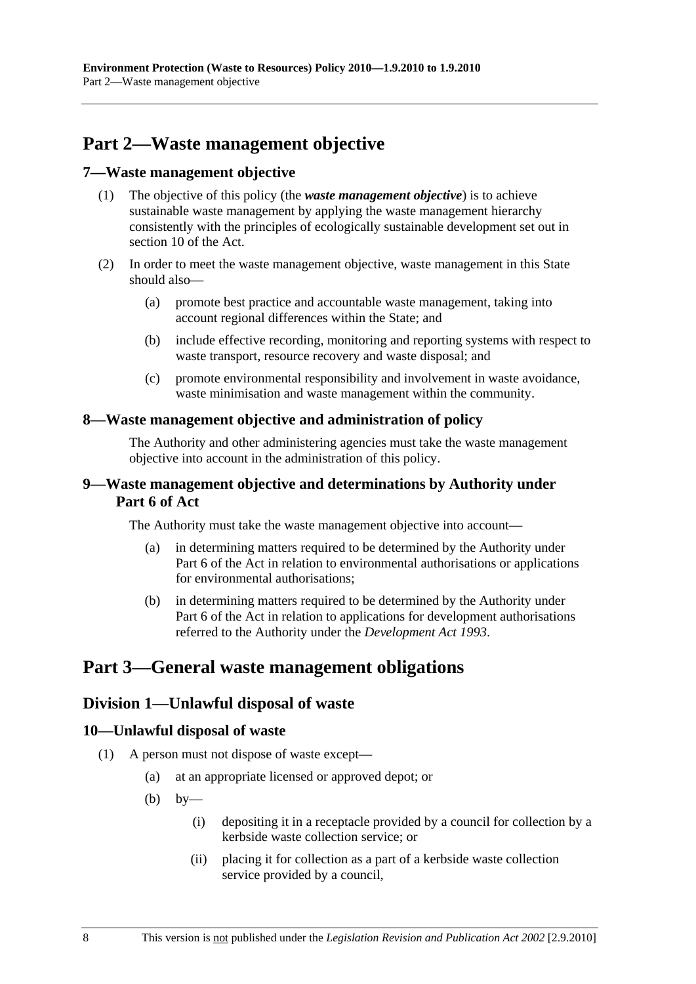# **Part 2—Waste management objective**

#### **7—Waste management objective**

- (1) The objective of this policy (the *waste management objective*) is to achieve sustainable waste management by applying the waste management hierarchy consistently with the principles of ecologically sustainable development set out in section 10 of the Act.
- (2) In order to meet the waste management objective, waste management in this State should also—
	- (a) promote best practice and accountable waste management, taking into account regional differences within the State; and
	- (b) include effective recording, monitoring and reporting systems with respect to waste transport, resource recovery and waste disposal; and
	- (c) promote environmental responsibility and involvement in waste avoidance, waste minimisation and waste management within the community.

## **8—Waste management objective and administration of policy**

The Authority and other administering agencies must take the waste management objective into account in the administration of this policy.

## **9—Waste management objective and determinations by Authority under Part 6 of Act**

The Authority must take the waste management objective into account—

- (a) in determining matters required to be determined by the Authority under Part 6 of the Act in relation to environmental authorisations or applications for environmental authorisations;
- (b) in determining matters required to be determined by the Authority under Part 6 of the Act in relation to applications for development authorisations referred to the Authority under the *Development Act 1993*.

## **Part 3—General waste management obligations**

## **Division 1—Unlawful disposal of waste**

## **10—Unlawful disposal of waste**

- (1) A person must not dispose of waste except—
	- (a) at an appropriate licensed or approved depot; or
	- (b) by—
		- (i) depositing it in a receptacle provided by a council for collection by a kerbside waste collection service; or
		- (ii) placing it for collection as a part of a kerbside waste collection service provided by a council,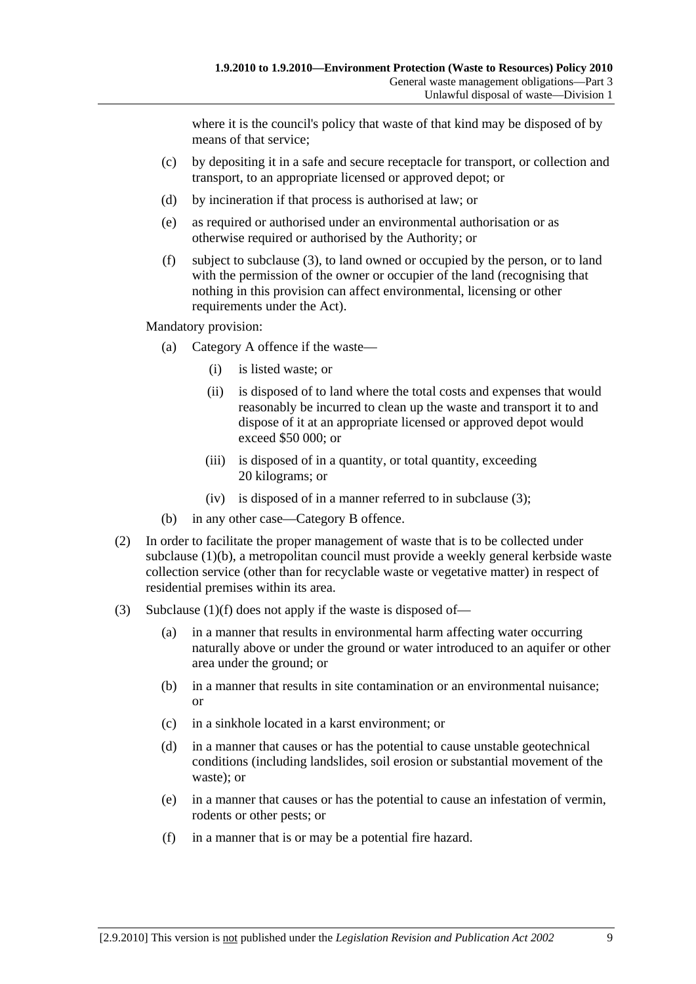where it is the council's policy that waste of that kind may be disposed of by means of that service;

- (c) by depositing it in a safe and secure receptacle for transport, or collection and transport, to an appropriate licensed or approved depot; or
- (d) by incineration if that process is authorised at law; or
- (e) as required or authorised under an environmental authorisation or as otherwise required or authorised by the Authority; or
- (f) subject to subclause (3), to land owned or occupied by the person, or to land with the permission of the owner or occupier of the land (recognising that nothing in this provision can affect environmental, licensing or other requirements under the Act).

Mandatory provision:

- (a) Category A offence if the waste—
	- (i) is listed waste; or
	- (ii) is disposed of to land where the total costs and expenses that would reasonably be incurred to clean up the waste and transport it to and dispose of it at an appropriate licensed or approved depot would exceed \$50 000; or
	- (iii) is disposed of in a quantity, or total quantity, exceeding 20 kilograms; or
	- (iv) is disposed of in a manner referred to in subclause (3);
- (b) in any other case—Category B offence.
- (2) In order to facilitate the proper management of waste that is to be collected under subclause (1)(b), a metropolitan council must provide a weekly general kerbside waste collection service (other than for recyclable waste or vegetative matter) in respect of residential premises within its area.
- (3) Subclause (1)(f) does not apply if the waste is disposed of—
	- (a) in a manner that results in environmental harm affecting water occurring naturally above or under the ground or water introduced to an aquifer or other area under the ground; or
	- (b) in a manner that results in site contamination or an environmental nuisance; or
	- (c) in a sinkhole located in a karst environment; or
	- (d) in a manner that causes or has the potential to cause unstable geotechnical conditions (including landslides, soil erosion or substantial movement of the waste); or
	- (e) in a manner that causes or has the potential to cause an infestation of vermin, rodents or other pests; or
	- (f) in a manner that is or may be a potential fire hazard.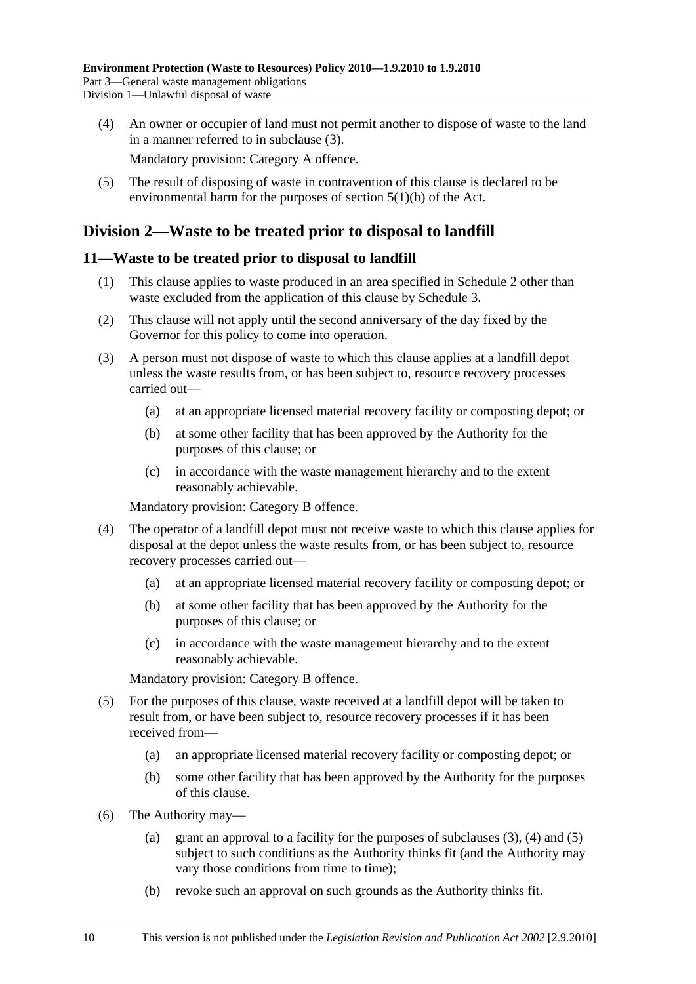(4) An owner or occupier of land must not permit another to dispose of waste to the land in a manner referred to in subclause (3).

Mandatory provision: Category A offence.

 (5) The result of disposing of waste in contravention of this clause is declared to be environmental harm for the purposes of section 5(1)(b) of the Act.

## **Division 2—Waste to be treated prior to disposal to landfill**

## **11—Waste to be treated prior to disposal to landfill**

- (1) This clause applies to waste produced in an area specified in Schedule 2 other than waste excluded from the application of this clause by Schedule 3.
- (2) This clause will not apply until the second anniversary of the day fixed by the Governor for this policy to come into operation.
- (3) A person must not dispose of waste to which this clause applies at a landfill depot unless the waste results from, or has been subject to, resource recovery processes carried out—
	- (a) at an appropriate licensed material recovery facility or composting depot; or
	- (b) at some other facility that has been approved by the Authority for the purposes of this clause; or
	- (c) in accordance with the waste management hierarchy and to the extent reasonably achievable.

Mandatory provision: Category B offence.

- (4) The operator of a landfill depot must not receive waste to which this clause applies for disposal at the depot unless the waste results from, or has been subject to, resource recovery processes carried out—
	- (a) at an appropriate licensed material recovery facility or composting depot; or
	- (b) at some other facility that has been approved by the Authority for the purposes of this clause; or
	- (c) in accordance with the waste management hierarchy and to the extent reasonably achievable.

Mandatory provision: Category B offence.

- (5) For the purposes of this clause, waste received at a landfill depot will be taken to result from, or have been subject to, resource recovery processes if it has been received from—
	- (a) an appropriate licensed material recovery facility or composting depot; or
	- (b) some other facility that has been approved by the Authority for the purposes of this clause.
- (6) The Authority may—
	- (a) grant an approval to a facility for the purposes of subclauses  $(3)$ ,  $(4)$  and  $(5)$ subject to such conditions as the Authority thinks fit (and the Authority may vary those conditions from time to time);
	- (b) revoke such an approval on such grounds as the Authority thinks fit.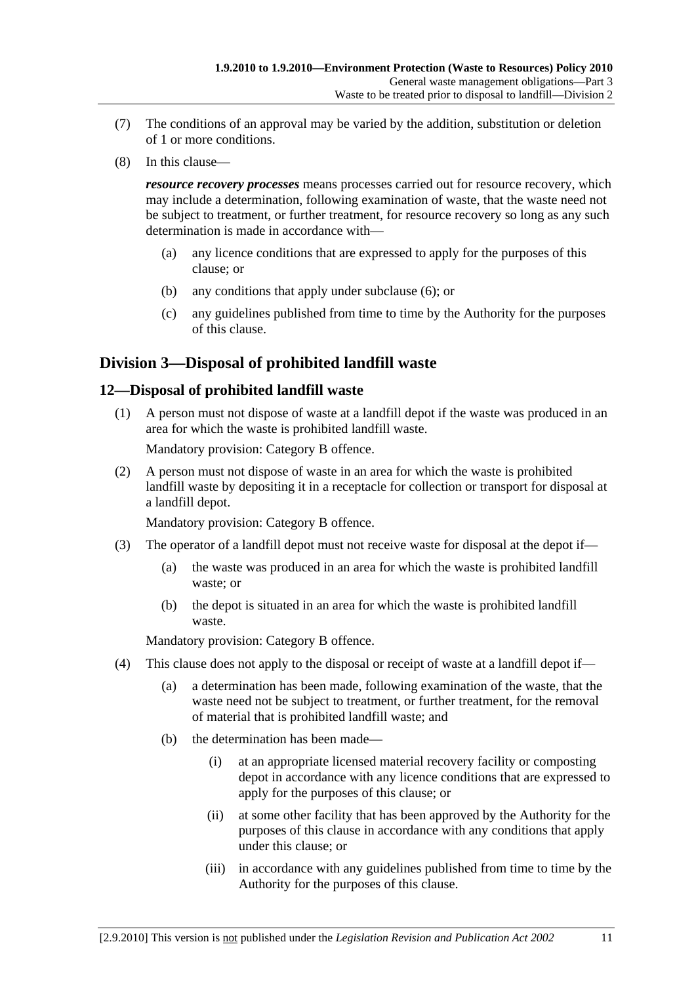- (7) The conditions of an approval may be varied by the addition, substitution or deletion of 1 or more conditions.
- (8) In this clause—

*resource recovery processes* means processes carried out for resource recovery, which may include a determination, following examination of waste, that the waste need not be subject to treatment, or further treatment, for resource recovery so long as any such determination is made in accordance with—

- (a) any licence conditions that are expressed to apply for the purposes of this clause; or
- (b) any conditions that apply under subclause (6); or
- (c) any guidelines published from time to time by the Authority for the purposes of this clause.

## **Division 3—Disposal of prohibited landfill waste**

## **12—Disposal of prohibited landfill waste**

 (1) A person must not dispose of waste at a landfill depot if the waste was produced in an area for which the waste is prohibited landfill waste.

Mandatory provision: Category B offence.

 (2) A person must not dispose of waste in an area for which the waste is prohibited landfill waste by depositing it in a receptacle for collection or transport for disposal at a landfill depot.

Mandatory provision: Category B offence.

- (3) The operator of a landfill depot must not receive waste for disposal at the depot if—
	- (a) the waste was produced in an area for which the waste is prohibited landfill waste; or
	- (b) the depot is situated in an area for which the waste is prohibited landfill waste.

Mandatory provision: Category B offence.

- (4) This clause does not apply to the disposal or receipt of waste at a landfill depot if—
	- (a) a determination has been made, following examination of the waste, that the waste need not be subject to treatment, or further treatment, for the removal of material that is prohibited landfill waste; and
	- (b) the determination has been made—
		- (i) at an appropriate licensed material recovery facility or composting depot in accordance with any licence conditions that are expressed to apply for the purposes of this clause; or
		- (ii) at some other facility that has been approved by the Authority for the purposes of this clause in accordance with any conditions that apply under this clause; or
		- (iii) in accordance with any guidelines published from time to time by the Authority for the purposes of this clause.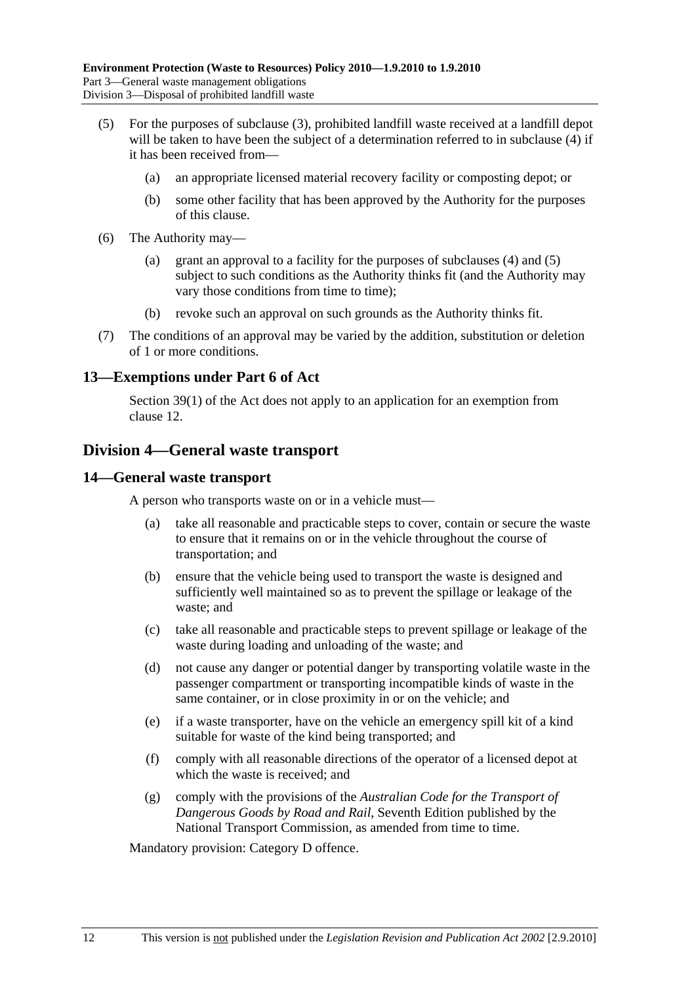- (5) For the purposes of subclause (3), prohibited landfill waste received at a landfill depot will be taken to have been the subject of a determination referred to in subclause (4) if it has been received from—
	- (a) an appropriate licensed material recovery facility or composting depot; or
	- (b) some other facility that has been approved by the Authority for the purposes of this clause.
- (6) The Authority may—
	- (a) grant an approval to a facility for the purposes of subclauses (4) and (5) subject to such conditions as the Authority thinks fit (and the Authority may vary those conditions from time to time);
	- (b) revoke such an approval on such grounds as the Authority thinks fit.
- (7) The conditions of an approval may be varied by the addition, substitution or deletion of 1 or more conditions.

#### **13—Exemptions under Part 6 of Act**

Section 39(1) of the Act does not apply to an application for an exemption from clause 12.

## **Division 4—General waste transport**

#### **14—General waste transport**

A person who transports waste on or in a vehicle must—

- (a) take all reasonable and practicable steps to cover, contain or secure the waste to ensure that it remains on or in the vehicle throughout the course of transportation; and
- (b) ensure that the vehicle being used to transport the waste is designed and sufficiently well maintained so as to prevent the spillage or leakage of the waste; and
- (c) take all reasonable and practicable steps to prevent spillage or leakage of the waste during loading and unloading of the waste; and
- (d) not cause any danger or potential danger by transporting volatile waste in the passenger compartment or transporting incompatible kinds of waste in the same container, or in close proximity in or on the vehicle; and
- (e) if a waste transporter, have on the vehicle an emergency spill kit of a kind suitable for waste of the kind being transported; and
- (f) comply with all reasonable directions of the operator of a licensed depot at which the waste is received; and
- (g) comply with the provisions of the *Australian Code for the Transport of Dangerous Goods by Road and Rail*, Seventh Edition published by the National Transport Commission, as amended from time to time.

Mandatory provision: Category D offence.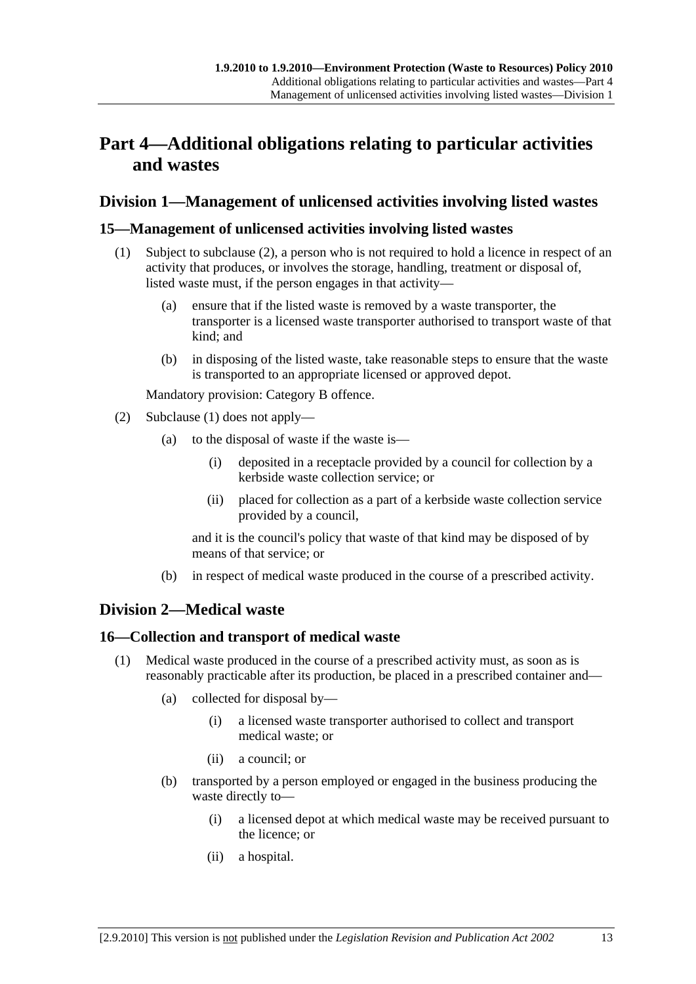# **Part 4—Additional obligations relating to particular activities and wastes**

## **Division 1—Management of unlicensed activities involving listed wastes**

## **15—Management of unlicensed activities involving listed wastes**

- (1) Subject to subclause (2), a person who is not required to hold a licence in respect of an activity that produces, or involves the storage, handling, treatment or disposal of, listed waste must, if the person engages in that activity—
	- (a) ensure that if the listed waste is removed by a waste transporter, the transporter is a licensed waste transporter authorised to transport waste of that kind; and
	- (b) in disposing of the listed waste, take reasonable steps to ensure that the waste is transported to an appropriate licensed or approved depot.

Mandatory provision: Category B offence.

- (2) Subclause (1) does not apply—
	- (a) to the disposal of waste if the waste is—
		- (i) deposited in a receptacle provided by a council for collection by a kerbside waste collection service; or
		- (ii) placed for collection as a part of a kerbside waste collection service provided by a council,

and it is the council's policy that waste of that kind may be disposed of by means of that service; or

(b) in respect of medical waste produced in the course of a prescribed activity.

## **Division 2—Medical waste**

## **16—Collection and transport of medical waste**

- (1) Medical waste produced in the course of a prescribed activity must, as soon as is reasonably practicable after its production, be placed in a prescribed container and—
	- (a) collected for disposal by—
		- (i) a licensed waste transporter authorised to collect and transport medical waste; or
		- (ii) a council; or
	- (b) transported by a person employed or engaged in the business producing the waste directly to—
		- (i) a licensed depot at which medical waste may be received pursuant to the licence; or
		- (ii) a hospital.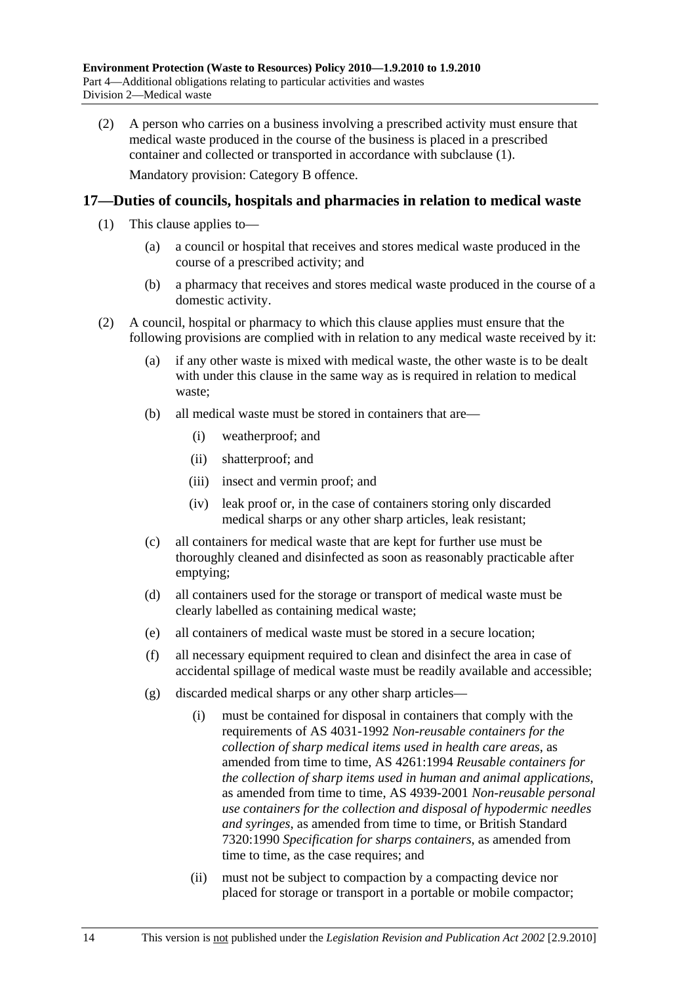(2) A person who carries on a business involving a prescribed activity must ensure that medical waste produced in the course of the business is placed in a prescribed container and collected or transported in accordance with subclause (1). Mandatory provision: Category B offence.

#### **17—Duties of councils, hospitals and pharmacies in relation to medical waste**

- (1) This clause applies to—
	- (a) a council or hospital that receives and stores medical waste produced in the course of a prescribed activity; and
	- (b) a pharmacy that receives and stores medical waste produced in the course of a domestic activity.
- (2) A council, hospital or pharmacy to which this clause applies must ensure that the following provisions are complied with in relation to any medical waste received by it:
	- (a) if any other waste is mixed with medical waste, the other waste is to be dealt with under this clause in the same way as is required in relation to medical waste;
	- (b) all medical waste must be stored in containers that are—
		- (i) weatherproof; and
		- (ii) shatterproof; and
		- (iii) insect and vermin proof; and
		- (iv) leak proof or, in the case of containers storing only discarded medical sharps or any other sharp articles, leak resistant;
	- (c) all containers for medical waste that are kept for further use must be thoroughly cleaned and disinfected as soon as reasonably practicable after emptying;
	- (d) all containers used for the storage or transport of medical waste must be clearly labelled as containing medical waste;
	- (e) all containers of medical waste must be stored in a secure location;
	- (f) all necessary equipment required to clean and disinfect the area in case of accidental spillage of medical waste must be readily available and accessible;
	- (g) discarded medical sharps or any other sharp articles—
		- (i) must be contained for disposal in containers that comply with the requirements of AS 4031-1992 *Non-reusable containers for the collection of sharp medical items used in health care areas*, as amended from time to time, AS 4261:1994 *Reusable containers for the collection of sharp items used in human and animal applications*, as amended from time to time, AS 4939-2001 *Non-reusable personal use containers for the collection and disposal of hypodermic needles and syringes*, as amended from time to time, or British Standard 7320:1990 *Specification for sharps containers*, as amended from time to time, as the case requires; and
		- (ii) must not be subject to compaction by a compacting device nor placed for storage or transport in a portable or mobile compactor;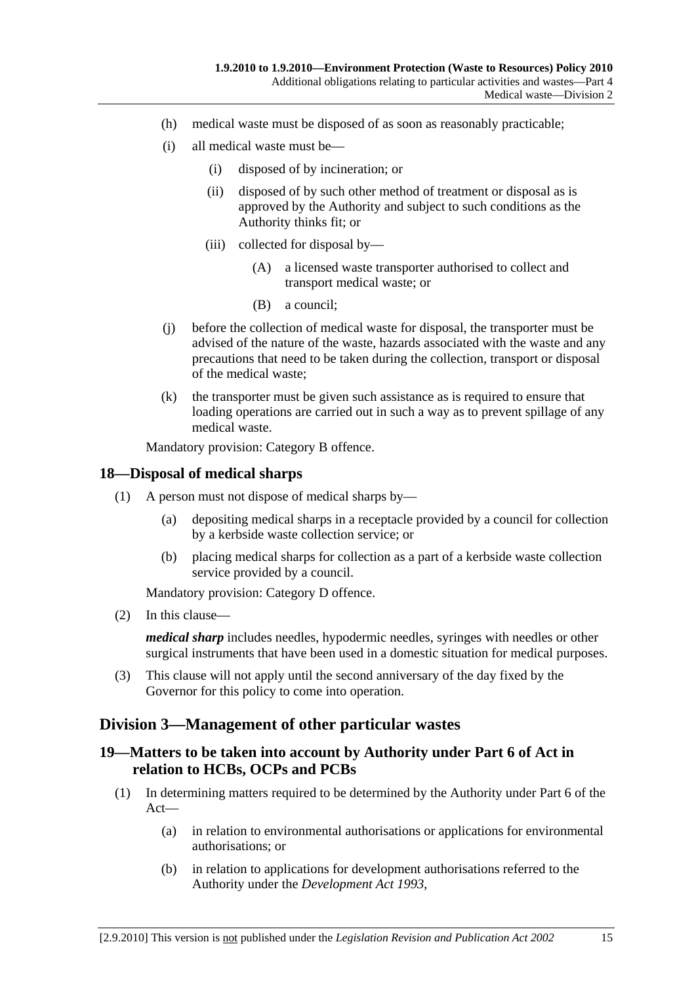- (h) medical waste must be disposed of as soon as reasonably practicable;
- (i) all medical waste must be—
	- (i) disposed of by incineration; or
	- (ii) disposed of by such other method of treatment or disposal as is approved by the Authority and subject to such conditions as the Authority thinks fit; or
	- (iii) collected for disposal by—
		- (A) a licensed waste transporter authorised to collect and transport medical waste; or
		- (B) a council;
- (j) before the collection of medical waste for disposal, the transporter must be advised of the nature of the waste, hazards associated with the waste and any precautions that need to be taken during the collection, transport or disposal of the medical waste;
- (k) the transporter must be given such assistance as is required to ensure that loading operations are carried out in such a way as to prevent spillage of any medical waste.

Mandatory provision: Category B offence.

#### **18—Disposal of medical sharps**

- (1) A person must not dispose of medical sharps by—
	- (a) depositing medical sharps in a receptacle provided by a council for collection by a kerbside waste collection service; or
	- (b) placing medical sharps for collection as a part of a kerbside waste collection service provided by a council.

Mandatory provision: Category D offence.

(2) In this clause—

*medical sharp* includes needles, hypodermic needles, syringes with needles or other surgical instruments that have been used in a domestic situation for medical purposes.

 (3) This clause will not apply until the second anniversary of the day fixed by the Governor for this policy to come into operation.

## **Division 3—Management of other particular wastes**

## **19—Matters to be taken into account by Authority under Part 6 of Act in relation to HCBs, OCPs and PCBs**

- (1) In determining matters required to be determined by the Authority under Part 6 of the Act—
	- (a) in relation to environmental authorisations or applications for environmental authorisations; or
	- (b) in relation to applications for development authorisations referred to the Authority under the *Development Act 1993*,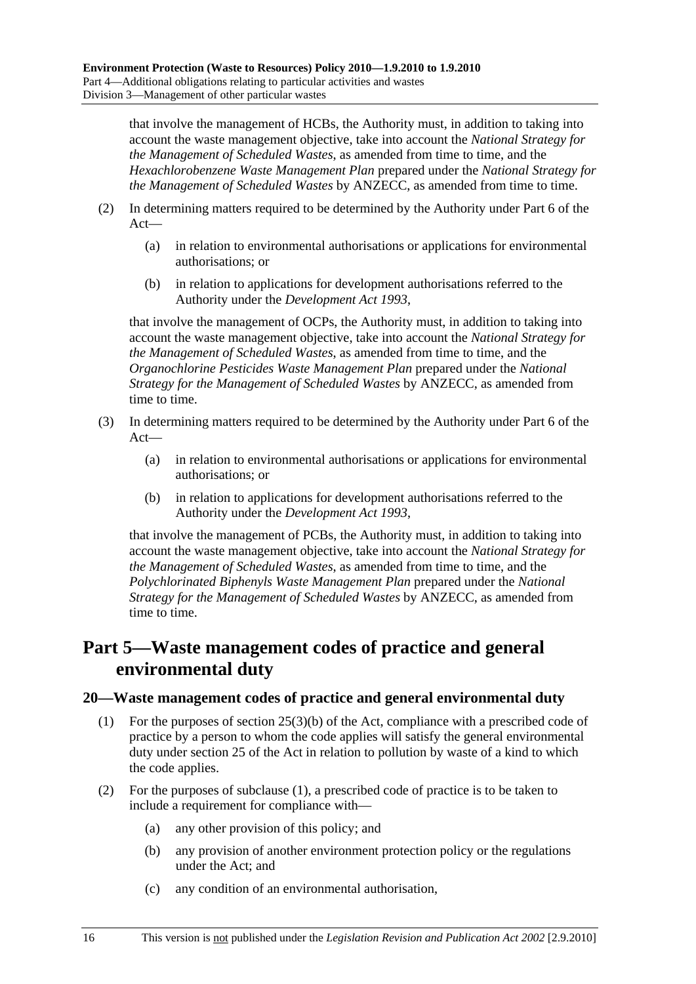that involve the management of HCBs, the Authority must, in addition to taking into account the waste management objective, take into account the *National Strategy for the Management of Scheduled Wastes*, as amended from time to time, and the *Hexachlorobenzene Waste Management Plan* prepared under the *National Strategy for the Management of Scheduled Wastes* by ANZECC, as amended from time to time.

- (2) In determining matters required to be determined by the Authority under Part 6 of the Act—
	- (a) in relation to environmental authorisations or applications for environmental authorisations; or
	- (b) in relation to applications for development authorisations referred to the Authority under the *Development Act 1993*,

that involve the management of OCPs, the Authority must, in addition to taking into account the waste management objective, take into account the *National Strategy for the Management of Scheduled Wastes*, as amended from time to time, and the *Organochlorine Pesticides Waste Management Plan* prepared under the *National Strategy for the Management of Scheduled Wastes* by ANZECC, as amended from time to time.

- (3) In determining matters required to be determined by the Authority under Part 6 of the Act—
	- (a) in relation to environmental authorisations or applications for environmental authorisations; or
	- (b) in relation to applications for development authorisations referred to the Authority under the *Development Act 1993*,

that involve the management of PCBs, the Authority must, in addition to taking into account the waste management objective, take into account the *National Strategy for the Management of Scheduled Wastes*, as amended from time to time, and the *Polychlorinated Biphenyls Waste Management Plan* prepared under the *National Strategy for the Management of Scheduled Wastes* by ANZECC, as amended from time to time.

## **Part 5—Waste management codes of practice and general environmental duty**

#### **20—Waste management codes of practice and general environmental duty**

- (1) For the purposes of section 25(3)(b) of the Act, compliance with a prescribed code of practice by a person to whom the code applies will satisfy the general environmental duty under section 25 of the Act in relation to pollution by waste of a kind to which the code applies.
- (2) For the purposes of subclause (1), a prescribed code of practice is to be taken to include a requirement for compliance with—
	- (a) any other provision of this policy; and
	- (b) any provision of another environment protection policy or the regulations under the Act; and
	- (c) any condition of an environmental authorisation,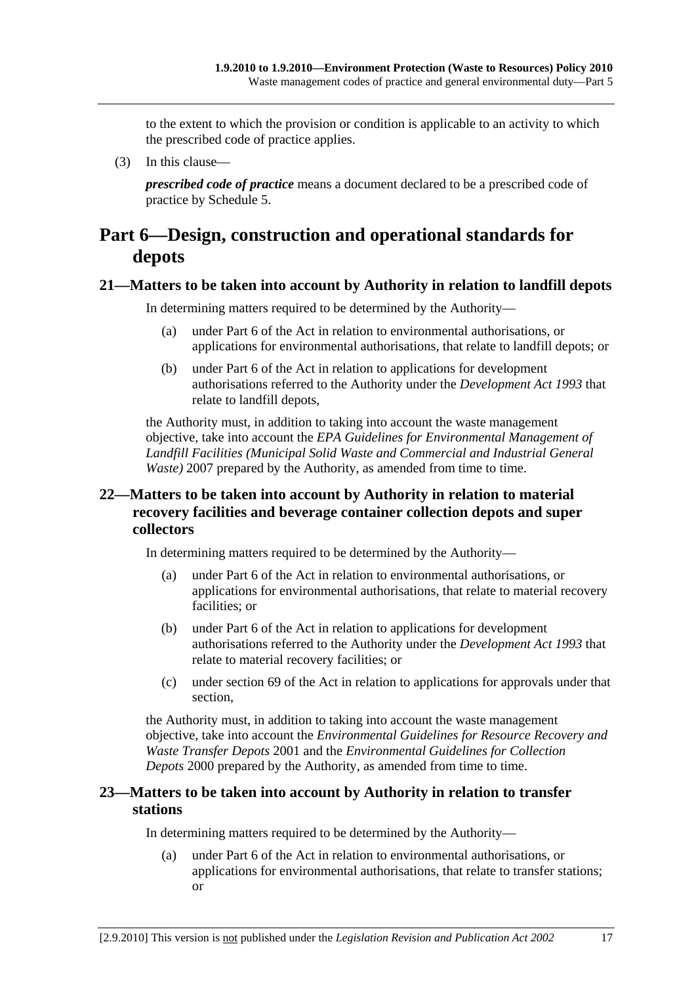to the extent to which the provision or condition is applicable to an activity to which the prescribed code of practice applies.

(3) In this clause—

*prescribed code of practice* means a document declared to be a prescribed code of practice by Schedule 5.

## **Part 6—Design, construction and operational standards for depots**

#### **21—Matters to be taken into account by Authority in relation to landfill depots**

In determining matters required to be determined by the Authority—

- (a) under Part 6 of the Act in relation to environmental authorisations, or applications for environmental authorisations, that relate to landfill depots; or
- (b) under Part 6 of the Act in relation to applications for development authorisations referred to the Authority under the *Development Act 1993* that relate to landfill depots,

the Authority must, in addition to taking into account the waste management objective, take into account the *EPA Guidelines for Environmental Management of Landfill Facilities (Municipal Solid Waste and Commercial and Industrial General Waste*) 2007 prepared by the Authority, as amended from time to time.

## **22—Matters to be taken into account by Authority in relation to material recovery facilities and beverage container collection depots and super collectors**

In determining matters required to be determined by the Authority—

- (a) under Part 6 of the Act in relation to environmental authorisations, or applications for environmental authorisations, that relate to material recovery facilities; or
- (b) under Part 6 of the Act in relation to applications for development authorisations referred to the Authority under the *Development Act 1993* that relate to material recovery facilities; or
- (c) under section 69 of the Act in relation to applications for approvals under that section,

the Authority must, in addition to taking into account the waste management objective, take into account the *Environmental Guidelines for Resource Recovery and Waste Transfer Depots* 2001 and the *Environmental Guidelines for Collection Depots* 2000 prepared by the Authority, as amended from time to time.

## **23—Matters to be taken into account by Authority in relation to transfer stations**

In determining matters required to be determined by the Authority—

 (a) under Part 6 of the Act in relation to environmental authorisations, or applications for environmental authorisations, that relate to transfer stations; or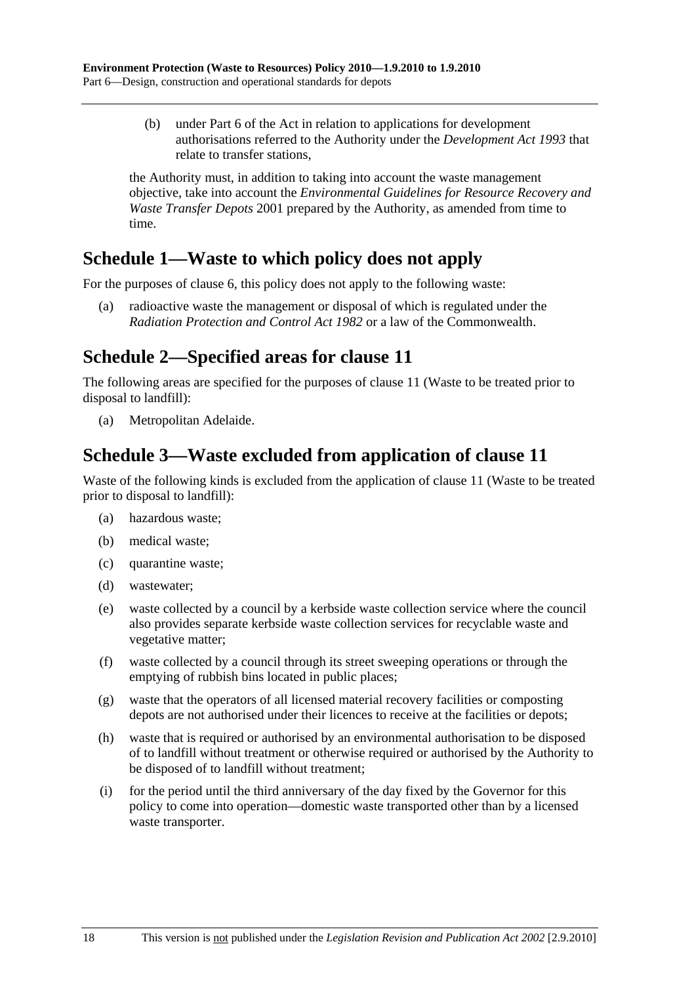(b) under Part 6 of the Act in relation to applications for development authorisations referred to the Authority under the *Development Act 1993* that relate to transfer stations,

the Authority must, in addition to taking into account the waste management objective, take into account the *Environmental Guidelines for Resource Recovery and Waste Transfer Depots* 2001 prepared by the Authority, as amended from time to time.

## **Schedule 1—Waste to which policy does not apply**

For the purposes of clause 6, this policy does not apply to the following waste:

 (a) radioactive waste the management or disposal of which is regulated under the *Radiation Protection and Control Act 1982* or a law of the Commonwealth.

## **Schedule 2—Specified areas for clause 11**

The following areas are specified for the purposes of clause 11 (Waste to be treated prior to disposal to landfill):

(a) Metropolitan Adelaide.

## **Schedule 3—Waste excluded from application of clause 11**

Waste of the following kinds is excluded from the application of clause 11 (Waste to be treated prior to disposal to landfill):

- (a) hazardous waste;
- (b) medical waste;
- (c) quarantine waste;
- (d) wastewater;
- (e) waste collected by a council by a kerbside waste collection service where the council also provides separate kerbside waste collection services for recyclable waste and vegetative matter;
- (f) waste collected by a council through its street sweeping operations or through the emptying of rubbish bins located in public places;
- (g) waste that the operators of all licensed material recovery facilities or composting depots are not authorised under their licences to receive at the facilities or depots;
- (h) waste that is required or authorised by an environmental authorisation to be disposed of to landfill without treatment or otherwise required or authorised by the Authority to be disposed of to landfill without treatment;
- (i) for the period until the third anniversary of the day fixed by the Governor for this policy to come into operation—domestic waste transported other than by a licensed waste transporter.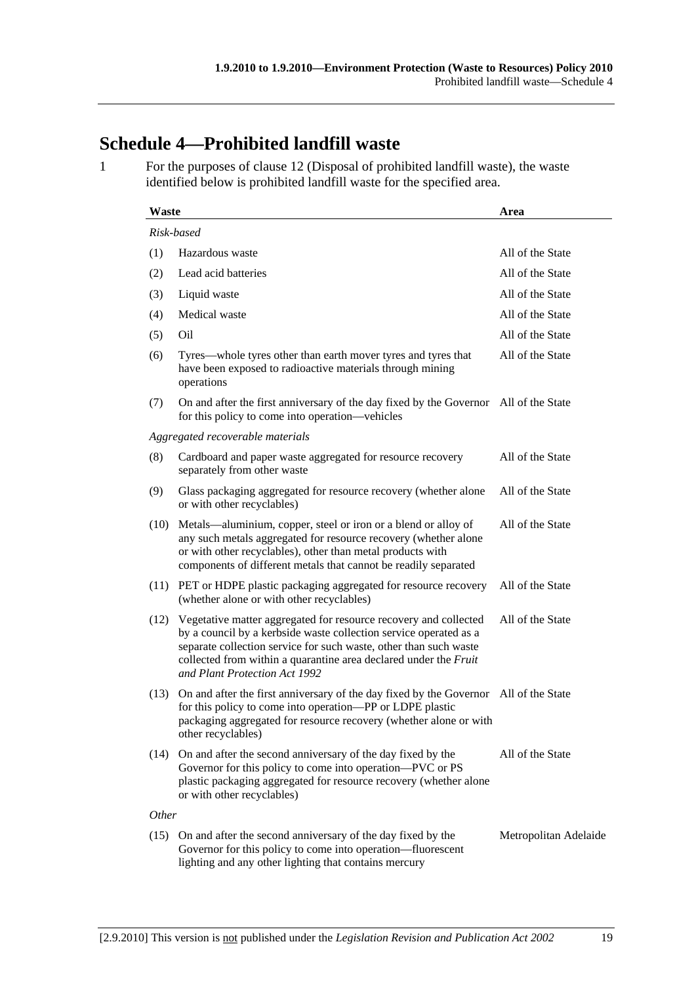## **Schedule 4—Prohibited landfill waste**

1 For the purposes of clause 12 (Disposal of prohibited landfill waste), the waste identified below is prohibited landfill waste for the specified area.

| Waste      |                                                                                                                                                                                                                                                                                                                 | Area                  |  |  |  |
|------------|-----------------------------------------------------------------------------------------------------------------------------------------------------------------------------------------------------------------------------------------------------------------------------------------------------------------|-----------------------|--|--|--|
| Risk-based |                                                                                                                                                                                                                                                                                                                 |                       |  |  |  |
| (1)        | Hazardous waste                                                                                                                                                                                                                                                                                                 | All of the State      |  |  |  |
| (2)        | Lead acid batteries                                                                                                                                                                                                                                                                                             | All of the State      |  |  |  |
| (3)        | Liquid waste                                                                                                                                                                                                                                                                                                    | All of the State      |  |  |  |
| (4)        | Medical waste                                                                                                                                                                                                                                                                                                   | All of the State      |  |  |  |
| (5)        | Oil                                                                                                                                                                                                                                                                                                             | All of the State      |  |  |  |
| (6)        | Tyres—whole tyres other than earth mover tyres and tyres that<br>have been exposed to radioactive materials through mining<br>operations                                                                                                                                                                        | All of the State      |  |  |  |
| (7)        | On and after the first anniversary of the day fixed by the Governor All of the State<br>for this policy to come into operation—vehicles                                                                                                                                                                         |                       |  |  |  |
|            | Aggregated recoverable materials                                                                                                                                                                                                                                                                                |                       |  |  |  |
| (8)        | Cardboard and paper waste aggregated for resource recovery<br>separately from other waste                                                                                                                                                                                                                       | All of the State      |  |  |  |
| (9)        | Glass packaging aggregated for resource recovery (whether alone<br>or with other recyclables)                                                                                                                                                                                                                   | All of the State      |  |  |  |
| (10)       | Metals—aluminium, copper, steel or iron or a blend or alloy of<br>any such metals aggregated for resource recovery (whether alone<br>or with other recyclables), other than metal products with<br>components of different metals that cannot be readily separated                                              | All of the State      |  |  |  |
| (11)       | PET or HDPE plastic packaging aggregated for resource recovery<br>(whether alone or with other recyclables)                                                                                                                                                                                                     | All of the State      |  |  |  |
| (12)       | Vegetative matter aggregated for resource recovery and collected<br>by a council by a kerbside waste collection service operated as a<br>separate collection service for such waste, other than such waste<br>collected from within a quarantine area declared under the Fruit<br>and Plant Protection Act 1992 | All of the State      |  |  |  |
| (13)       | On and after the first anniversary of the day fixed by the Governor All of the State<br>for this policy to come into operation-PP or LDPE plastic<br>packaging aggregated for resource recovery (whether alone or with<br>other recyclables)                                                                    |                       |  |  |  |
| (14)       | On and after the second anniversary of the day fixed by the<br>Governor for this policy to come into operation—PVC or PS<br>plastic packaging aggregated for resource recovery (whether alone<br>or with other recyclables)                                                                                     | All of the State      |  |  |  |
|            | <i>Other</i>                                                                                                                                                                                                                                                                                                    |                       |  |  |  |
|            | (15) On and after the second anniversary of the day fixed by the<br>Governor for this policy to come into operation—fluorescent<br>lighting and any other lighting that contains mercury                                                                                                                        | Metropolitan Adelaide |  |  |  |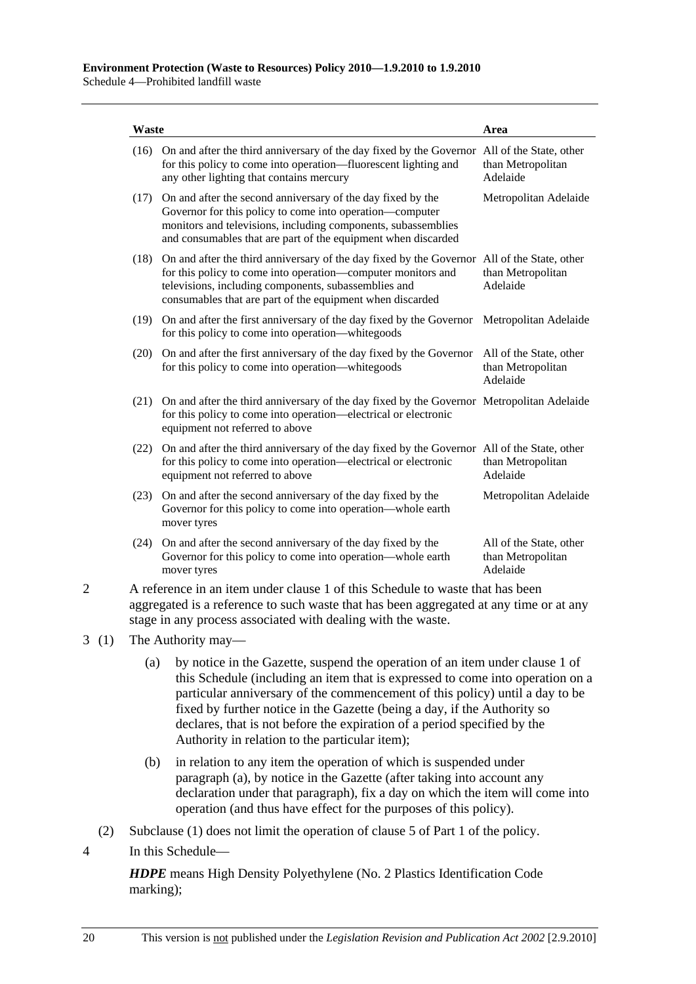| On and after the third anniversary of the day fixed by the Governor All of the State, other<br>for this policy to come into operation—fluorescent lighting and<br>any other lighting that contains mercury                                                                       | than Metropolitan<br>Adelaide                            |
|----------------------------------------------------------------------------------------------------------------------------------------------------------------------------------------------------------------------------------------------------------------------------------|----------------------------------------------------------|
| (17) On and after the second anniversary of the day fixed by the<br>Governor for this policy to come into operation—computer<br>monitors and televisions, including components, subassemblies<br>and consumables that are part of the equipment when discarded                   | Metropolitan Adelaide                                    |
| On and after the third anniversary of the day fixed by the Governor All of the State, other<br>for this policy to come into operation—computer monitors and<br>televisions, including components, subassemblies and<br>consumables that are part of the equipment when discarded | than Metropolitan<br>Adelaide                            |
| (19) On and after the first anniversary of the day fixed by the Governor<br>for this policy to come into operation—white goods                                                                                                                                                   | Metropolitan Adelaide                                    |
| (20) On and after the first anniversary of the day fixed by the Governor<br>for this policy to come into operation—white goods                                                                                                                                                   | All of the State, other<br>than Metropolitan<br>Adelaide |
| On and after the third anniversary of the day fixed by the Governor Metropolitan Adelaide<br>for this policy to come into operation—electrical or electronic<br>equipment not referred to above                                                                                  |                                                          |
| On and after the third anniversary of the day fixed by the Governor All of the State, other<br>for this policy to come into operation—electrical or electronic<br>equipment not referred to above                                                                                | than Metropolitan<br>Adelaide                            |
| (23) On and after the second anniversary of the day fixed by the<br>Governor for this policy to come into operation—whole earth<br>mover tyres                                                                                                                                   | Metropolitan Adelaide                                    |
| On and after the second anniversary of the day fixed by the<br>(24)<br>Governor for this policy to come into operation—whole earth<br>mover tyres                                                                                                                                | All of the State, other<br>than Metropolitan<br>Adelaide |
|                                                                                                                                                                                                                                                                                  |                                                          |

- aggregated is a reference to such waste that has been aggregated at any time or at any stage in any process associated with dealing with the waste.
- 3 (1) The Authority may—
	- (a) by notice in the Gazette, suspend the operation of an item under clause 1 of this Schedule (including an item that is expressed to come into operation on a particular anniversary of the commencement of this policy) until a day to be fixed by further notice in the Gazette (being a day, if the Authority so declares, that is not before the expiration of a period specified by the Authority in relation to the particular item);
	- (b) in relation to any item the operation of which is suspended under paragraph (a), by notice in the Gazette (after taking into account any declaration under that paragraph), fix a day on which the item will come into operation (and thus have effect for the purposes of this policy).
	- (2) Subclause (1) does not limit the operation of clause 5 of Part 1 of the policy.
- 4 In this Schedule—

*HDPE* means High Density Polyethylene (No. 2 Plastics Identification Code marking);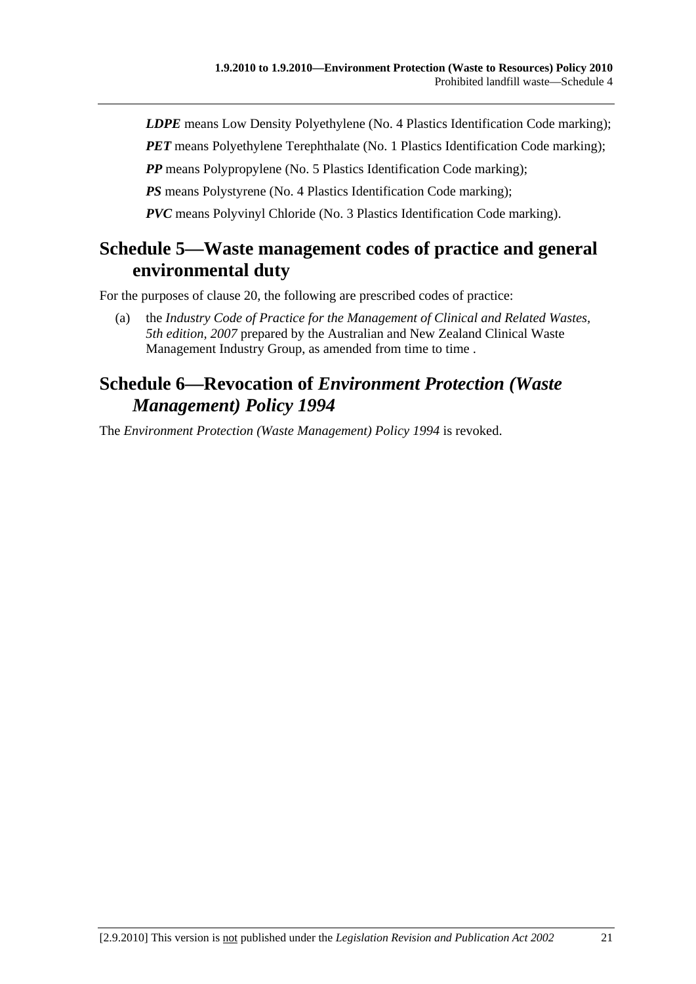*LDPE* means Low Density Polyethylene (No. 4 Plastics Identification Code marking);

*PET* means Polyethylene Terephthalate (No. 1 Plastics Identification Code marking);

*PP* means Polypropylene (No. 5 Plastics Identification Code marking);

*PS* means Polystyrene (No. 4 Plastics Identification Code marking);

*PVC* means Polyvinyl Chloride (No. 3 Plastics Identification Code marking).

## **Schedule 5—Waste management codes of practice and general environmental duty**

For the purposes of clause 20, the following are prescribed codes of practice:

 (a) the *Industry Code of Practice for the Management of Clinical and Related Wastes, 5th edition, 2007* prepared by the Australian and New Zealand Clinical Waste Management Industry Group, as amended from time to time.

## **Schedule 6—Revocation of** *Environment Protection (Waste Management) Policy 1994*

The *Environment Protection (Waste Management) Policy 1994* is revoked.